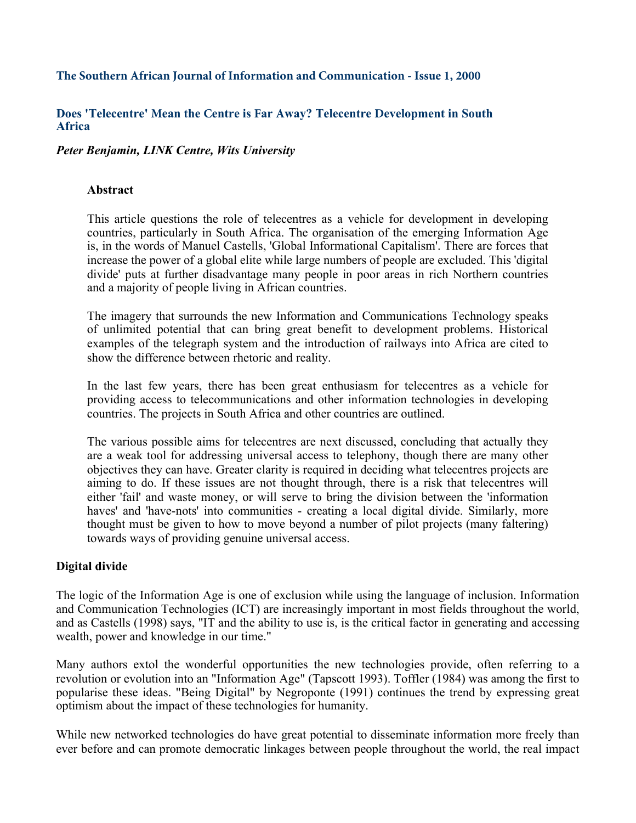#### **The Southern African Journal of Information and Communication - Issue 1, 2000**

#### **Does 'Telecentre' Mean the Centre is Far Away? Telecentre Development in South□T Africa**

*Peter Benjamin, LINK Centre, University of the Witwatersrand* 

### **Abstract**

This article questions the role of telecentres as a vehicle for development in developing countries, particularly in South Africa. The organisation of the emerging Information Age is, in the words of Manuel Castells, 'Global Informational Capitalism'. There are forces that increase the power of a global elite while large numbers of people are excluded. This 'digital divide' puts at further disadvantage many people in poor areas in rich Northern countries and a majority of people living in African countries.

The imagery that surrounds the new Information and Communications Technology speaks of unlimited potential that can bring great benefit to development problems. Historical examples of the telegraph system and the introduction of railways into Africa are cited to show the difference between rhetoric and reality.

In the last few years, there has been great enthusiasm for telecentres as a vehicle for providing access to telecommunications and other information technologies in developing countries. The projects in South Africa and other countries are outlined.

The various possible aims for telecentres are next discussed, concluding that actually they are a weak tool for addressing universal access to telephony, though there are many other objectives they can have. Greater clarity is required in deciding what telecentres projects are aiming to do. If these issues are not thought through, there is a risk that telecentres will either 'fail' and waste money, or will serve to bring the division between the 'information haves' and 'have-nots' into communities - creating a local digital divide. Similarly, more thought must be given to how to move beyond a number of pilot projects (many faltering) towards ways of providing genuine universal access.

## **Digital divide**

The logic of the Information Age is one of exclusion while using the language of inclusion. Information and Communication Technologies (ICT) are increasingly important in most fields throughout the world, and as Castells (1998) says, "IT and the ability to use is, is the critical factor in generating and accessing wealth, power and knowledge in our time."

Many authors extol the wonderful opportunities the new technologies provide, often referring to a revolution or evolution into an "Information Age" (Tapscott 1993). Toffler (1984) was among the first to popularise these ideas. "Being Digital" by Negroponte (1991) continues the trend by expressing great optimism about the impact of these technologies for humanity.

While new networked technologies do have great potential to disseminate information more freely than ever before and can promote democratic linkages between people throughout the world, the real impact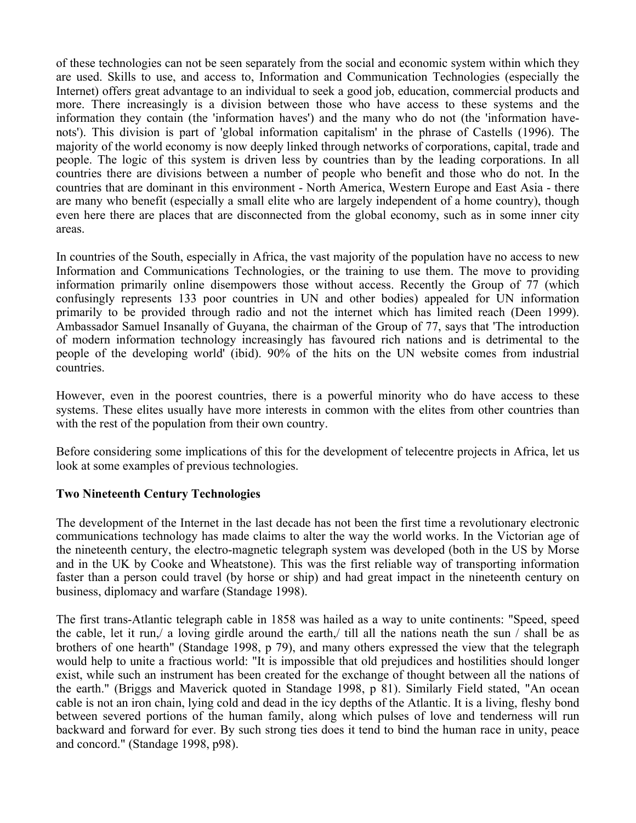of these technologies can not be seen separately from the social and economic system within which they are used. Skills to use, and access to, Information and Communication Technologies (especially the Internet) offers great advantage to an individual to seek a good job, education, commercial products and more. There increasingly is a division between those who have access to these systems and the information they contain (the 'information haves') and the many who do not (the 'information havenots'). This division is part of 'global information capitalism' in the phrase of Castells (1996). The majority of the world economy is now deeply linked through networks of corporations, capital, trade and people. The logic of this system is driven less by countries than by the leading corporations. In all countries there are divisions between a number of people who benefit and those who do not. In the countries that are dominant in this environment - North America, Western Europe and East Asia - there are many who benefit (especially a small elite who are largely independent of a home country), though even here there are places that are disconnected from the global economy, such as in some inner city areas.

In countries of the South, especially in Africa, the vast majority of the population have no access to new Information and Communications Technologies, or the training to use them. The move to providing information primarily online disempowers those without access. Recently the Group of 77 (which confusingly represents 133 poor countries in UN and other bodies) appealed for UN information primarily to be provided through radio and not the internet which has limited reach (Deen 1999). Ambassador Samuel Insanally of Guyana, the chairman of the Group of 77, says that 'The introduction of modern information technology increasingly has favoured rich nations and is detrimental to the people of the developing world' (ibid). 90% of the hits on the UN website comes from industrial countries.

However, even in the poorest countries, there is a powerful minority who do have access to these systems. These elites usually have more interests in common with the elites from other countries than with the rest of the population from their own country.

Before considering some implications of this for the development of telecentre projects in Africa, let us look at some examples of previous technologies.

#### **Two Nineteenth Century Technologies**

The development of the Internet in the last decade has not been the first time a revolutionary electronic communications technology has made claims to alter the way the world works. In the Victorian age of the nineteenth century, the electro-magnetic telegraph system was developed (both in the US by Morse and in the UK by Cooke and Wheatstone). This was the first reliable way of transporting information faster than a person could travel (by horse or ship) and had great impact in the nineteenth century on business, diplomacy and warfare (Standage 1998).

The first trans-Atlantic telegraph cable in 1858 was hailed as a way to unite continents: "Speed, speed the cable, let it run,/ a loving girdle around the earth,/ till all the nations neath the sun / shall be as brothers of one hearth" (Standage 1998, p 79), and many others expressed the view that the telegraph would help to unite a fractious world: "It is impossible that old prejudices and hostilities should longer exist, while such an instrument has been created for the exchange of thought between all the nations of the earth." (Briggs and Maverick quoted in Standage 1998, p 81). Similarly Field stated, "An ocean cable is not an iron chain, lying cold and dead in the icy depths of the Atlantic. It is a living, fleshy bond between severed portions of the human family, along which pulses of love and tenderness will run backward and forward for ever. By such strong ties does it tend to bind the human race in unity, peace and concord." (Standage 1998, p98).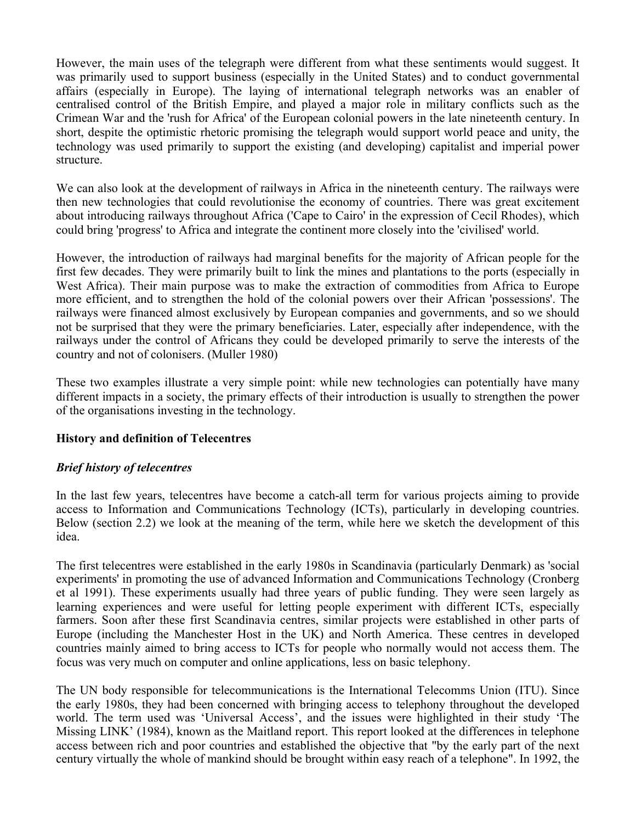However, the main uses of the telegraph were different from what these sentiments would suggest. It was primarily used to support business (especially in the United States) and to conduct governmental affairs (especially in Europe). The laying of international telegraph networks was an enabler of centralised control of the British Empire, and played a major role in military conflicts such as the Crimean War and the 'rush for Africa' of the European colonial powers in the late nineteenth century. In short, despite the optimistic rhetoric promising the telegraph would support world peace and unity, the technology was used primarily to support the existing (and developing) capitalist and imperial power structure.

We can also look at the development of railways in Africa in the nineteenth century. The railways were then new technologies that could revolutionise the economy of countries. There was great excitement about introducing railways throughout Africa ('Cape to Cairo' in the expression of Cecil Rhodes), which could bring 'progress' to Africa and integrate the continent more closely into the 'civilised' world.

However, the introduction of railways had marginal benefits for the majority of African people for the first few decades. They were primarily built to link the mines and plantations to the ports (especially in West Africa). Their main purpose was to make the extraction of commodities from Africa to Europe more efficient, and to strengthen the hold of the colonial powers over their African 'possessions'. The railways were financed almost exclusively by European companies and governments, and so we should not be surprised that they were the primary beneficiaries. Later, especially after independence, with the railways under the control of Africans they could be developed primarily to serve the interests of the country and not of colonisers. (Muller 1980)

These two examples illustrate a very simple point: while new technologies can potentially have many different impacts in a society, the primary effects of their introduction is usually to strengthen the power of the organisations investing in the technology.

#### **History and definition of Telecentres**

#### *Brief history of telecentres*

In the last few years, telecentres have become a catch-all term for various projects aiming to provide access to Information and Communications Technology (ICTs), particularly in developing countries. Below (section 2.2) we look at the meaning of the term, while here we sketch the development of this idea.

The first telecentres were established in the early 1980s in Scandinavia (particularly Denmark) as 'social experiments' in promoting the use of advanced Information and Communications Technology (Cronberg et al 1991). These experiments usually had three years of public funding. They were seen largely as learning experiences and were useful for letting people experiment with different ICTs, especially farmers. Soon after these first Scandinavia centres, similar projects were established in other parts of Europe (including the Manchester Host in the UK) and North America. These centres in developed countries mainly aimed to bring access to ICTs for people who normally would not access them. The focus was very much on computer and online applications, less on basic telephony.

The UN body responsible for telecommunications is the International Telecomms Union (ITU). Since the early 1980s, they had been concerned with bringing access to telephony throughout the developed world. The term used was 'Universal Access', and the issues were highlighted in their study 'The Missing LINK' (1984), known as the Maitland report. This report looked at the differences in telephone access between rich and poor countries and established the objective that "by the early part of the next century virtually the whole of mankind should be brought within easy reach of a telephone". In 1992, the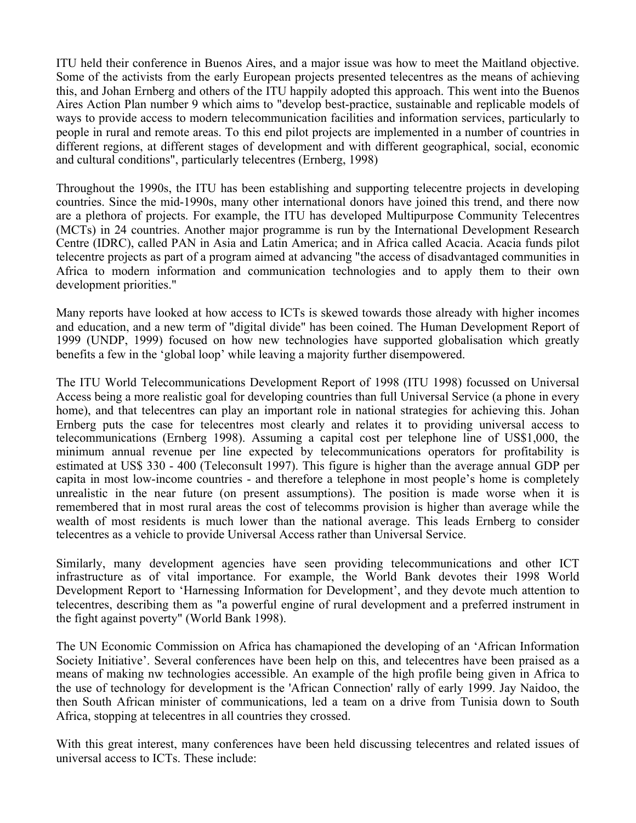ITU held their conference in Buenos Aires, and a major issue was how to meet the Maitland objective. Some of the activists from the early European projects presented telecentres as the means of achieving this, and Johan Ernberg and others of the ITU happily adopted this approach. This went into the Buenos Aires Action Plan number 9 which aims to "develop best-practice, sustainable and replicable models of ways to provide access to modern telecommunication facilities and information services, particularly to people in rural and remote areas. To this end pilot projects are implemented in a number of countries in different regions, at different stages of development and with different geographical, social, economic and cultural conditions", particularly telecentres (Ernberg, 1998)

Throughout the 1990s, the ITU has been establishing and supporting telecentre projects in developing countries. Since the mid-1990s, many other international donors have joined this trend, and there now are a plethora of projects. For example, the ITU has developed Multipurpose Community Telecentres (MCTs) in 24 countries. Another major programme is run by the International Development Research Centre (IDRC), called PAN in Asia and Latin America; and in Africa called Acacia. Acacia funds pilot telecentre projects as part of a program aimed at advancing "the access of disadvantaged communities in Africa to modern information and communication technologies and to apply them to their own development priorities."

Many reports have looked at how access to ICTs is skewed towards those already with higher incomes and education, and a new term of "digital divide" has been coined. The Human Development Report of 1999 (UNDP, 1999) focused on how new technologies have supported globalisation which greatly benefits a few in the 'global loop' while leaving a majority further disempowered.

The ITU World Telecommunications Development Report of 1998 (ITU 1998) focussed on Universal Access being a more realistic goal for developing countries than full Universal Service (a phone in every home), and that telecentres can play an important role in national strategies for achieving this. Johan Ernberg puts the case for telecentres most clearly and relates it to providing universal access to telecommunications (Ernberg 1998). Assuming a capital cost per telephone line of US\$1,000, the minimum annual revenue per line expected by telecommunications operators for profitability is estimated at US\$ 330 - 400 (Teleconsult 1997). This figure is higher than the average annual GDP per capita in most low-income countries - and therefore a telephone in most people's home is completely unrealistic in the near future (on present assumptions). The position is made worse when it is remembered that in most rural areas the cost of telecomms provision is higher than average while the wealth of most residents is much lower than the national average. This leads Ernberg to consider telecentres as a vehicle to provide Universal Access rather than Universal Service.

Similarly, many development agencies have seen providing telecommunications and other ICT infrastructure as of vital importance. For example, the World Bank devotes their 1998 World Development Report to 'Harnessing Information for Development', and they devote much attention to telecentres, describing them as "a powerful engine of rural development and a preferred instrument in the fight against poverty" (World Bank 1998).

The UN Economic Commission on Africa has chamapioned the developing of an 'African Information Society Initiative'. Several conferences have been help on this, and telecentres have been praised as a means of making nw technologies accessible. An example of the high profile being given in Africa to the use of technology for development is the 'African Connection' rally of early 1999. Jay Naidoo, the then South African minister of communications, led a team on a drive from Tunisia down to South Africa, stopping at telecentres in all countries they crossed.

With this great interest, many conferences have been held discussing telecentres and related issues of universal access to ICTs. These include: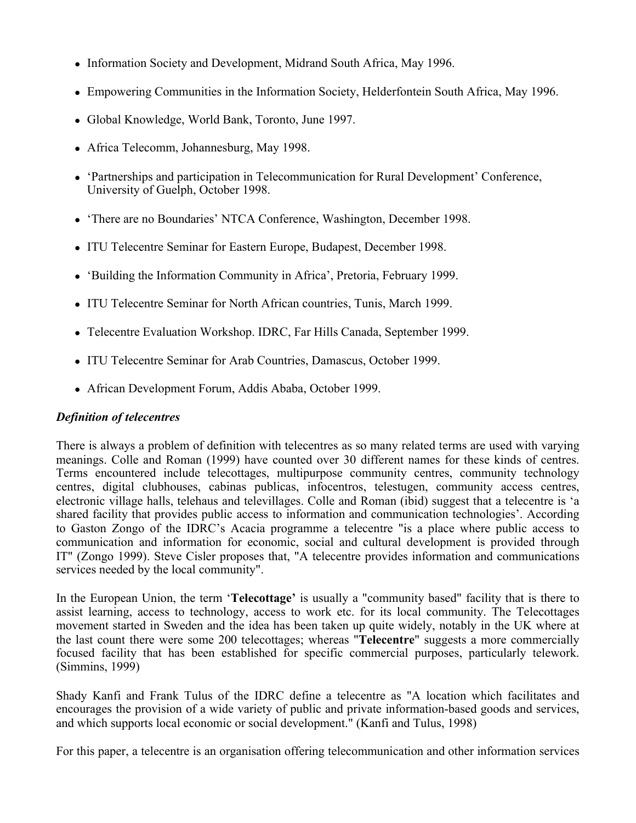- Information Society and Development, Midrand South Africa, May 1996.
- Empowering Communities in the Information Society, Helderfontein South Africa, May 1996.
- Global Knowledge, World Bank, Toronto, June 1997.
- Africa Telecomm, Johannesburg, May 1998.
- 'Partnerships and participation in Telecommunication for Rural Development' Conference, University of Guelph, October 1998.
- 'There are no Boundaries' NTCA Conference, Washington, December 1998.
- ITU Telecentre Seminar for Eastern Europe, Budapest, December 1998.
- 'Building the Information Community in Africa', Pretoria, February 1999.
- ITU Telecentre Seminar for North African countries, Tunis, March 1999.
- Telecentre Evaluation Workshop. IDRC, Far Hills Canada, September 1999.
- ITU Telecentre Seminar for Arab Countries, Damascus, October 1999.
- African Development Forum, Addis Ababa, October 1999.

## *Definition of telecentres*

There is always a problem of definition with telecentres as so many related terms are used with varying meanings. Colle and Roman (1999) have counted over 30 different names for these kinds of centres. Terms encountered include telecottages, multipurpose community centres, community technology centres, digital clubhouses, cabinas publicas, infocentros, telestugen, community access centres, electronic village halls, telehaus and televillages. Colle and Roman (ibid) suggest that a telecentre is 'a shared facility that provides public access to information and communication technologies'. According to Gaston Zongo of the IDRC's Acacia programme a telecentre "is a place where public access to communication and information for economic, social and cultural development is provided through IT" (Zongo 1999). Steve Cisler proposes that, "A telecentre provides information and communications services needed by the local community".

In the European Union, the term '**Telecottage'** is usually a "community based" facility that is there to assist learning, access to technology, access to work etc. for its local community. The Telecottages movement started in Sweden and the idea has been taken up quite widely, notably in the UK where at the last count there were some 200 telecottages; whereas "**Telecentre**" suggests a more commercially focused facility that has been established for specific commercial purposes, particularly telework. (Simmins, 1999)

Shady Kanfi and Frank Tulus of the IDRC define a telecentre as "A location which facilitates and encourages the provision of a wide variety of public and private information-based goods and services, and which supports local economic or social development." (Kanfi and Tulus, 1998)

For this paper, a telecentre is an organisation offering telecommunication and other information services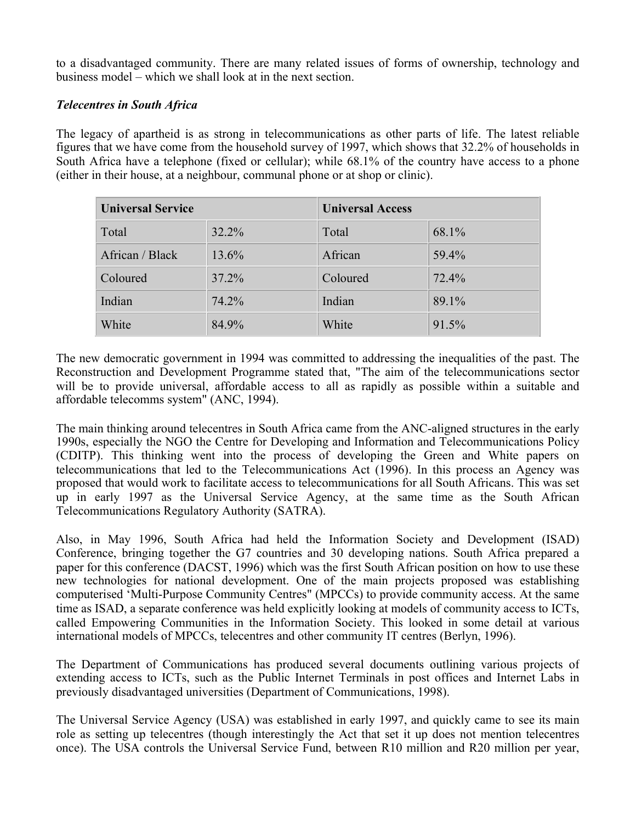to a disadvantaged community. There are many related issues of forms of ownership, technology and business model – which we shall look at in the next section.

### *Telecentres in South Africa*

The legacy of apartheid is as strong in telecommunications as other parts of life. The latest reliable figures that we have come from the household survey of 1997, which shows that 32.2% of households in South Africa have a telephone (fixed or cellular); while 68.1% of the country have access to a phone (either in their house, at a neighbour, communal phone or at shop or clinic).

| <b>Universal Service</b> |       | <b>Universal Access</b> |       |
|--------------------------|-------|-------------------------|-------|
| Total                    | 32.2% | Total                   | 68.1% |
| African / Black          | 13.6% | African                 | 59.4% |
| Coloured                 | 37.2% | Coloured                | 72.4% |
| Indian                   | 74.2% | Indian                  | 89.1% |
| White                    | 84.9% | White                   | 91.5% |

The new democratic government in 1994 was committed to addressing the inequalities of the past. The Reconstruction and Development Programme stated that, "The aim of the telecommunications sector will be to provide universal, affordable access to all as rapidly as possible within a suitable and affordable telecomms system" (ANC, 1994).

The main thinking around telecentres in South Africa came from the ANC-aligned structures in the early 1990s, especially the NGO the Centre for Developing and Information and Telecommunications Policy (CDITP). This thinking went into the process of developing the Green and White papers on telecommunications that led to the Telecommunications Act (1996). In this process an Agency was proposed that would work to facilitate access to telecommunications for all South Africans. This was set up in early 1997 as the Universal Service Agency, at the same time as the South African Telecommunications Regulatory Authority (SATRA).

Also, in May 1996, South Africa had held the Information Society and Development (ISAD) Conference, bringing together the G7 countries and 30 developing nations. South Africa prepared a paper for this conference (DACST, 1996) which was the first South African position on how to use these new technologies for national development. One of the main projects proposed was establishing computerised 'Multi-Purpose Community Centres" (MPCCs) to provide community access. At the same time as ISAD, a separate conference was held explicitly looking at models of community access to ICTs, called Empowering Communities in the Information Society. This looked in some detail at various international models of MPCCs, telecentres and other community IT centres (Berlyn, 1996).

The Department of Communications has produced several documents outlining various projects of extending access to ICTs, such as the Public Internet Terminals in post offices and Internet Labs in previously disadvantaged universities (Department of Communications, 1998).

The Universal Service Agency (USA) was established in early 1997, and quickly came to see its main role as setting up telecentres (though interestingly the Act that set it up does not mention telecentres once). The USA controls the Universal Service Fund, between R10 million and R20 million per year,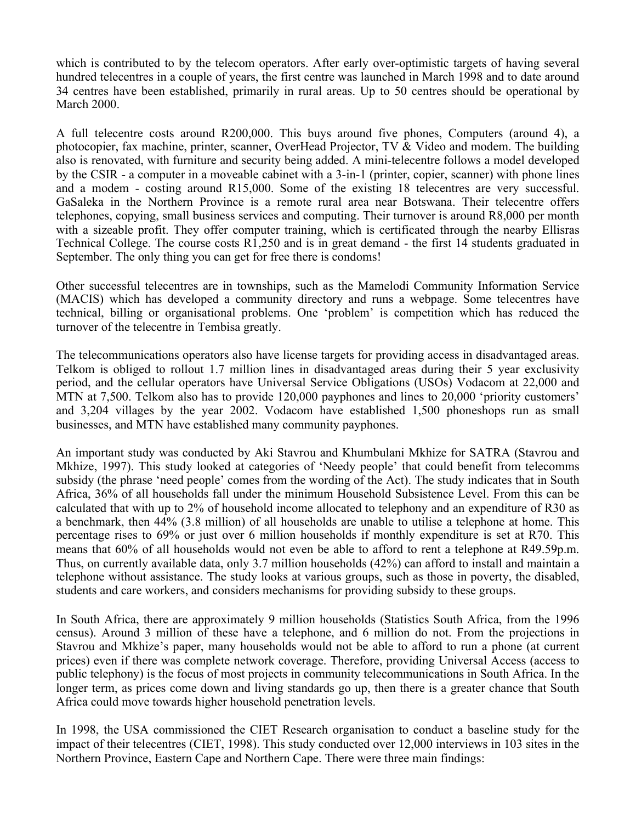which is contributed to by the telecom operators. After early over-optimistic targets of having several hundred telecentres in a couple of years, the first centre was launched in March 1998 and to date around 34 centres have been established, primarily in rural areas. Up to 50 centres should be operational by March 2000.

A full telecentre costs around R200,000. This buys around five phones, Computers (around 4), a photocopier, fax machine, printer, scanner, OverHead Projector, TV & Video and modem. The building also is renovated, with furniture and security being added. A mini-telecentre follows a model developed by the CSIR - a computer in a moveable cabinet with a 3-in-1 (printer, copier, scanner) with phone lines and a modem - costing around R15,000. Some of the existing 18 telecentres are very successful. GaSaleka in the Northern Province is a remote rural area near Botswana. Their telecentre offers telephones, copying, small business services and computing. Their turnover is around R8,000 per month with a sizeable profit. They offer computer training, which is certificated through the nearby Ellisras Technical College. The course costs R1,250 and is in great demand - the first 14 students graduated in September. The only thing you can get for free there is condoms!

Other successful telecentres are in townships, such as the Mamelodi Community Information Service (MACIS) which has developed a community directory and runs a webpage. Some telecentres have technical, billing or organisational problems. One 'problem' is competition which has reduced the turnover of the telecentre in Tembisa greatly.

The telecommunications operators also have license targets for providing access in disadvantaged areas. Telkom is obliged to rollout 1.7 million lines in disadvantaged areas during their 5 year exclusivity period, and the cellular operators have Universal Service Obligations (USOs) Vodacom at 22,000 and MTN at 7,500. Telkom also has to provide 120,000 payphones and lines to 20,000 'priority customers' and 3,204 villages by the year 2002. Vodacom have established 1,500 phoneshops run as small businesses, and MTN have established many community payphones.

An important study was conducted by Aki Stavrou and Khumbulani Mkhize for SATRA (Stavrou and Mkhize, 1997). This study looked at categories of 'Needy people' that could benefit from telecomms subsidy (the phrase 'need people' comes from the wording of the Act). The study indicates that in South Africa, 36% of all households fall under the minimum Household Subsistence Level. From this can be calculated that with up to 2% of household income allocated to telephony and an expenditure of R30 as a benchmark, then 44% (3.8 million) of all households are unable to utilise a telephone at home. This percentage rises to 69% or just over 6 million households if monthly expenditure is set at R70. This means that 60% of all households would not even be able to afford to rent a telephone at R49.59p.m. Thus, on currently available data, only 3.7 million households (42%) can afford to install and maintain a telephone without assistance. The study looks at various groups, such as those in poverty, the disabled, students and care workers, and considers mechanisms for providing subsidy to these groups.

In South Africa, there are approximately 9 million households (Statistics South Africa, from the 1996 census). Around 3 million of these have a telephone, and 6 million do not. From the projections in Stavrou and Mkhize's paper, many households would not be able to afford to run a phone (at current prices) even if there was complete network coverage. Therefore, providing Universal Access (access to public telephony) is the focus of most projects in community telecommunications in South Africa. In the longer term, as prices come down and living standards go up, then there is a greater chance that South Africa could move towards higher household penetration levels.

In 1998, the USA commissioned the CIET Research organisation to conduct a baseline study for the impact of their telecentres (CIET, 1998). This study conducted over 12,000 interviews in 103 sites in the Northern Province, Eastern Cape and Northern Cape. There were three main findings: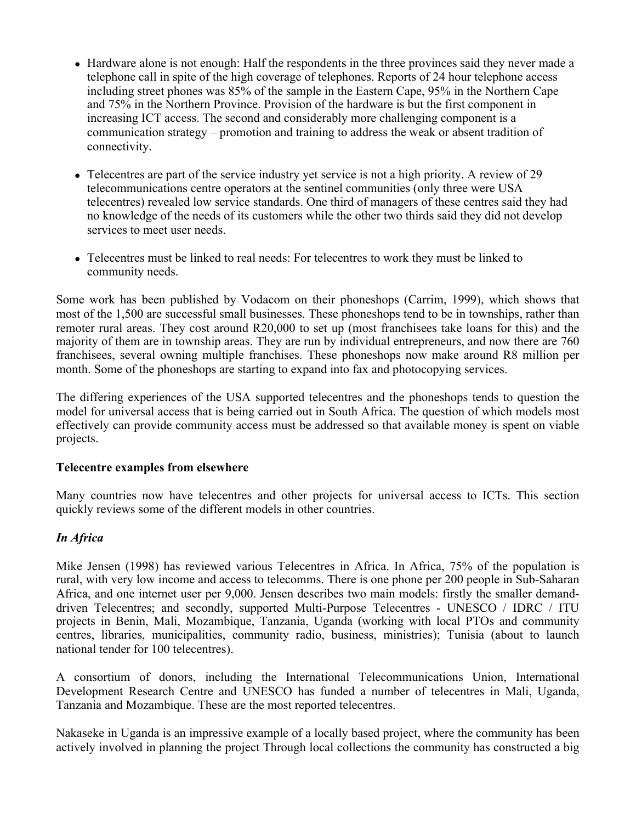- Hardware alone is not enough: Half the respondents in the three provinces said they never made a telephone call in spite of the high coverage of telephones. Reports of 24 hour telephone access including street phones was 85% of the sample in the Eastern Cape, 95% in the Northern Cape and 75% in the Northern Province. Provision of the hardware is but the first component in increasing ICT access. The second and considerably more challenging component is a communication strategy – promotion and training to address the weak or absent tradition of connectivity.
- Telecentres are part of the service industry yet service is not a high priority. A review of 29 telecommunications centre operators at the sentinel communities (only three were USA telecentres) revealed low service standards. One third of managers of these centres said they had no knowledge of the needs of its customers while the other two thirds said they did not develop services to meet user needs.
- Telecentres must be linked to real needs: For telecentres to work they must be linked to community needs.

Some work has been published by Vodacom on their phoneshops (Carrim, 1999), which shows that most of the 1,500 are successful small businesses. These phoneshops tend to be in townships, rather than remoter rural areas. They cost around R20,000 to set up (most franchisees take loans for this) and the majority of them are in township areas. They are run by individual entrepreneurs, and now there are 760 franchisees, several owning multiple franchises. These phoneshops now make around R8 million per month. Some of the phoneshops are starting to expand into fax and photocopying services.

The differing experiences of the USA supported telecentres and the phoneshops tends to question the model for universal access that is being carried out in South Africa. The question of which models most effectively can provide community access must be addressed so that available money is spent on viable projects.

#### **Telecentre examples from elsewhere**

Many countries now have telecentres and other projects for universal access to ICTs. This section quickly reviews some of the different models in other countries.

## *In Africa*

Mike Jensen (1998) has reviewed various Telecentres in Africa. In Africa, 75% of the population is rural, with very low income and access to telecomms. There is one phone per 200 people in Sub-Saharan Africa, and one internet user per 9,000. Jensen describes two main models: firstly the smaller demanddriven Telecentres; and secondly, supported Multi-Purpose Telecentres - UNESCO / IDRC / ITU projects in Benin, Mali, Mozambique, Tanzania, Uganda (working with local PTOs and community centres, libraries, municipalities, community radio, business, ministries); Tunisia (about to launch national tender for 100 telecentres).

A consortium of donors, including the International Telecommunications Union, International Development Research Centre and UNESCO has funded a number of telecentres in Mali, Uganda, Tanzania and Mozambique. These are the most reported telecentres.

Nakaseke in Uganda is an impressive example of a locally based project, where the community has been actively involved in planning the project Through local collections the community has constructed a big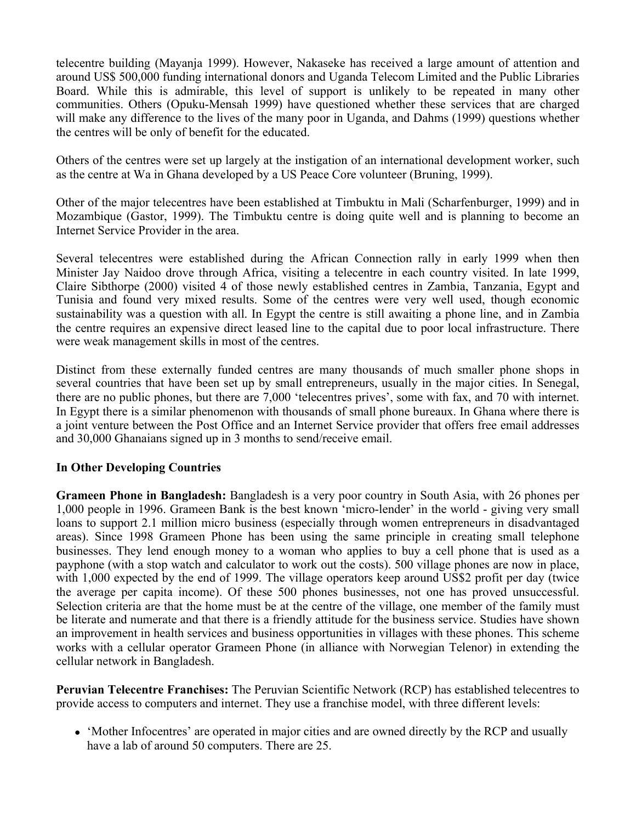telecentre building (Mayanja 1999). However, Nakaseke has received a large amount of attention and around US\$ 500,000 funding international donors and Uganda Telecom Limited and the Public Libraries Board. While this is admirable, this level of support is unlikely to be repeated in many other communities. Others (Opuku-Mensah 1999) have questioned whether these services that are charged will make any difference to the lives of the many poor in Uganda, and Dahms (1999) questions whether the centres will be only of benefit for the educated.

Others of the centres were set up largely at the instigation of an international development worker, such as the centre at Wa in Ghana developed by a US Peace Core volunteer (Bruning, 1999).

Other of the major telecentres have been established at Timbuktu in Mali (Scharfenburger, 1999) and in Mozambique (Gastor, 1999). The Timbuktu centre is doing quite well and is planning to become an Internet Service Provider in the area.

Several telecentres were established during the African Connection rally in early 1999 when then Minister Jay Naidoo drove through Africa, visiting a telecentre in each country visited. In late 1999, Claire Sibthorpe (2000) visited 4 of those newly established centres in Zambia, Tanzania, Egypt and Tunisia and found very mixed results. Some of the centres were very well used, though economic sustainability was a question with all. In Egypt the centre is still awaiting a phone line, and in Zambia the centre requires an expensive direct leased line to the capital due to poor local infrastructure. There were weak management skills in most of the centres.

Distinct from these externally funded centres are many thousands of much smaller phone shops in several countries that have been set up by small entrepreneurs, usually in the major cities. In Senegal, there are no public phones, but there are 7,000 'telecentres prives', some with fax, and 70 with internet. In Egypt there is a similar phenomenon with thousands of small phone bureaux. In Ghana where there is a joint venture between the Post Office and an Internet Service provider that offers free email addresses and 30,000 Ghanaians signed up in 3 months to send/receive email.

#### **In Other Developing Countries**

**Grameen Phone in Bangladesh:** Bangladesh is a very poor country in South Asia, with 26 phones per 1,000 people in 1996. Grameen Bank is the best known 'micro-lender' in the world - giving very small loans to support 2.1 million micro business (especially through women entrepreneurs in disadvantaged areas). Since 1998 Grameen Phone has been using the same principle in creating small telephone businesses. They lend enough money to a woman who applies to buy a cell phone that is used as a payphone (with a stop watch and calculator to work out the costs). 500 village phones are now in place, with 1,000 expected by the end of 1999. The village operators keep around US\$2 profit per day (twice the average per capita income). Of these 500 phones businesses, not one has proved unsuccessful. Selection criteria are that the home must be at the centre of the village, one member of the family must be literate and numerate and that there is a friendly attitude for the business service. Studies have shown an improvement in health services and business opportunities in villages with these phones. This scheme works with a cellular operator Grameen Phone (in alliance with Norwegian Telenor) in extending the cellular network in Bangladesh.

**Peruvian Telecentre Franchises:** The Peruvian Scientific Network (RCP) has established telecentres to provide access to computers and internet. They use a franchise model, with three different levels:

 'Mother Infocentres' are operated in major cities and are owned directly by the RCP and usually have a lab of around 50 computers. There are 25.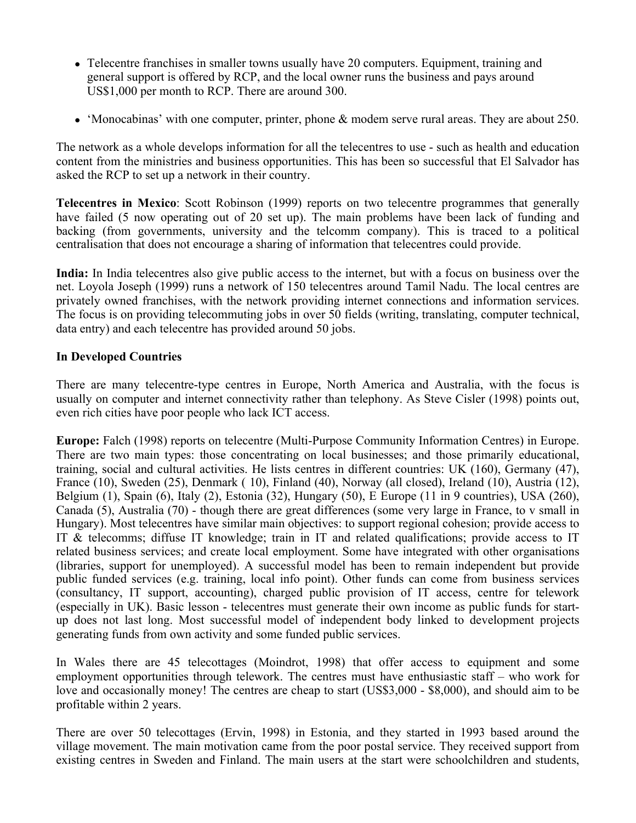- Telecentre franchises in smaller towns usually have 20 computers. Equipment, training and general support is offered by RCP, and the local owner runs the business and pays around US\$1,000 per month to RCP. There are around 300.
- 'Monocabinas' with one computer, printer, phone & modem serve rural areas. They are about 250.

The network as a whole develops information for all the telecentres to use - such as health and education content from the ministries and business opportunities. This has been so successful that El Salvador has asked the RCP to set up a network in their country.

**Telecentres in Mexico**: Scott Robinson (1999) reports on two telecentre programmes that generally have failed (5 now operating out of 20 set up). The main problems have been lack of funding and backing (from governments, university and the telcomm company). This is traced to a political centralisation that does not encourage a sharing of information that telecentres could provide.

**India:** In India telecentres also give public access to the internet, but with a focus on business over the net. Loyola Joseph (1999) runs a network of 150 telecentres around Tamil Nadu. The local centres are privately owned franchises, with the network providing internet connections and information services. The focus is on providing telecommuting jobs in over 50 fields (writing, translating, computer technical, data entry) and each telecentre has provided around 50 jobs.

## **In Developed Countries**

There are many telecentre-type centres in Europe, North America and Australia, with the focus is usually on computer and internet connectivity rather than telephony. As Steve Cisler (1998) points out, even rich cities have poor people who lack ICT access.

**Europe:** Falch (1998) reports on telecentre (Multi-Purpose Community Information Centres) in Europe. There are two main types: those concentrating on local businesses; and those primarily educational, training, social and cultural activities. He lists centres in different countries: UK (160), Germany (47), France (10), Sweden (25), Denmark ( 10), Finland (40), Norway (all closed), Ireland (10), Austria (12), Belgium (1), Spain (6), Italy (2), Estonia (32), Hungary (50), E Europe (11 in 9 countries), USA (260), Canada (5), Australia (70) - though there are great differences (some very large in France, to v small in Hungary). Most telecentres have similar main objectives: to support regional cohesion; provide access to IT & telecomms; diffuse IT knowledge; train in IT and related qualifications; provide access to IT related business services; and create local employment. Some have integrated with other organisations (libraries, support for unemployed). A successful model has been to remain independent but provide public funded services (e.g. training, local info point). Other funds can come from business services (consultancy, IT support, accounting), charged public provision of IT access, centre for telework (especially in UK). Basic lesson - telecentres must generate their own income as public funds for startup does not last long. Most successful model of independent body linked to development projects generating funds from own activity and some funded public services.

In Wales there are 45 telecottages (Moindrot, 1998) that offer access to equipment and some employment opportunities through telework. The centres must have enthusiastic staff – who work for love and occasionally money! The centres are cheap to start (US\$3,000 - \$8,000), and should aim to be profitable within 2 years.

There are over 50 telecottages (Ervin, 1998) in Estonia, and they started in 1993 based around the village movement. The main motivation came from the poor postal service. They received support from existing centres in Sweden and Finland. The main users at the start were schoolchildren and students,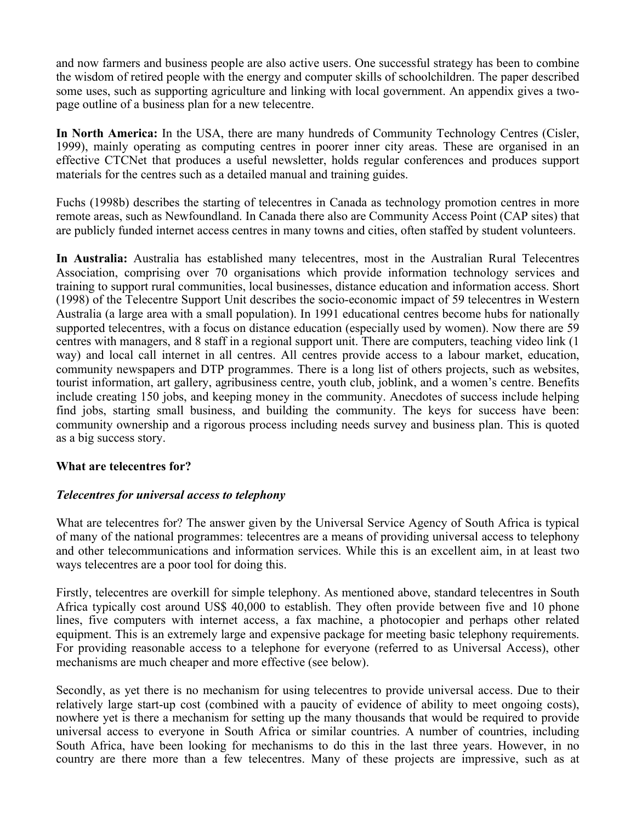and now farmers and business people are also active users. One successful strategy has been to combine the wisdom of retired people with the energy and computer skills of schoolchildren. The paper described some uses, such as supporting agriculture and linking with local government. An appendix gives a twopage outline of a business plan for a new telecentre.

**In North America:** In the USA, there are many hundreds of Community Technology Centres (Cisler, 1999), mainly operating as computing centres in poorer inner city areas. These are organised in an effective CTCNet that produces a useful newsletter, holds regular conferences and produces support materials for the centres such as a detailed manual and training guides.

Fuchs (1998b) describes the starting of telecentres in Canada as technology promotion centres in more remote areas, such as Newfoundland. In Canada there also are Community Access Point (CAP sites) that are publicly funded internet access centres in many towns and cities, often staffed by student volunteers.

**In Australia:** Australia has established many telecentres, most in the Australian Rural Telecentres Association, comprising over 70 organisations which provide information technology services and training to support rural communities, local businesses, distance education and information access. Short (1998) of the Telecentre Support Unit describes the socio-economic impact of 59 telecentres in Western Australia (a large area with a small population). In 1991 educational centres become hubs for nationally supported telecentres, with a focus on distance education (especially used by women). Now there are 59 centres with managers, and 8 staff in a regional support unit. There are computers, teaching video link (1 way) and local call internet in all centres. All centres provide access to a labour market, education, community newspapers and DTP programmes. There is a long list of others projects, such as websites, tourist information, art gallery, agribusiness centre, youth club, joblink, and a women's centre. Benefits include creating 150 jobs, and keeping money in the community. Anecdotes of success include helping find jobs, starting small business, and building the community. The keys for success have been: community ownership and a rigorous process including needs survey and business plan. This is quoted as a big success story.

## **What are telecentres for?**

## *Telecentres for universal access to telephony*

What are telecentres for? The answer given by the Universal Service Agency of South Africa is typical of many of the national programmes: telecentres are a means of providing universal access to telephony and other telecommunications and information services. While this is an excellent aim, in at least two ways telecentres are a poor tool for doing this.

Firstly, telecentres are overkill for simple telephony. As mentioned above, standard telecentres in South Africa typically cost around US\$ 40,000 to establish. They often provide between five and 10 phone lines, five computers with internet access, a fax machine, a photocopier and perhaps other related equipment. This is an extremely large and expensive package for meeting basic telephony requirements. For providing reasonable access to a telephone for everyone (referred to as Universal Access), other mechanisms are much cheaper and more effective (see below).

Secondly, as yet there is no mechanism for using telecentres to provide universal access. Due to their relatively large start-up cost (combined with a paucity of evidence of ability to meet ongoing costs), nowhere yet is there a mechanism for setting up the many thousands that would be required to provide universal access to everyone in South Africa or similar countries. A number of countries, including South Africa, have been looking for mechanisms to do this in the last three years. However, in no country are there more than a few telecentres. Many of these projects are impressive, such as at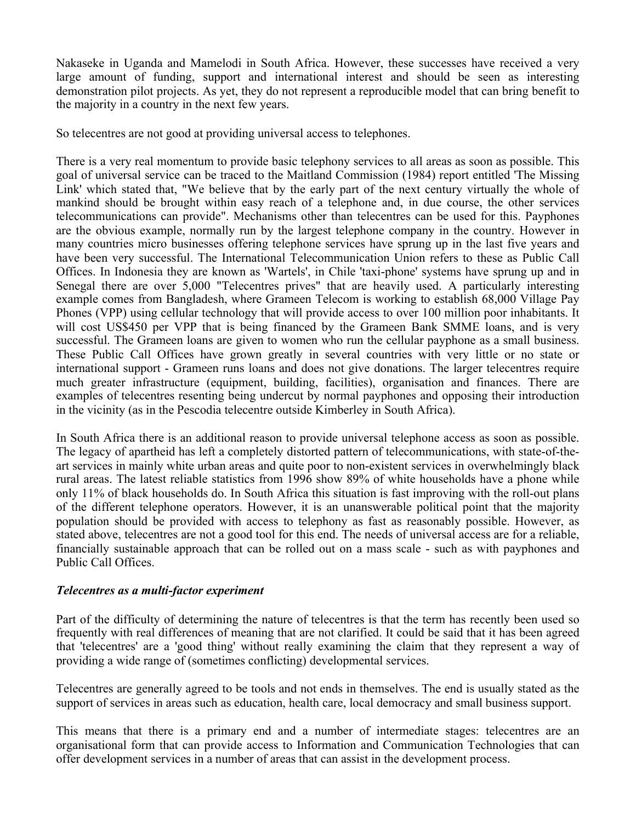Nakaseke in Uganda and Mamelodi in South Africa. However, these successes have received a very large amount of funding, support and international interest and should be seen as interesting demonstration pilot projects. As yet, they do not represent a reproducible model that can bring benefit to the majority in a country in the next few years.

So telecentres are not good at providing universal access to telephones.

There is a very real momentum to provide basic telephony services to all areas as soon as possible. This goal of universal service can be traced to the Maitland Commission (1984) report entitled 'The Missing Link' which stated that, "We believe that by the early part of the next century virtually the whole of mankind should be brought within easy reach of a telephone and, in due course, the other services telecommunications can provide". Mechanisms other than telecentres can be used for this. Payphones are the obvious example, normally run by the largest telephone company in the country. However in many countries micro businesses offering telephone services have sprung up in the last five years and have been very successful. The International Telecommunication Union refers to these as Public Call Offices. In Indonesia they are known as 'Wartels', in Chile 'taxi-phone' systems have sprung up and in Senegal there are over 5,000 "Telecentres prives" that are heavily used. A particularly interesting example comes from Bangladesh, where Grameen Telecom is working to establish 68,000 Village Pay Phones (VPP) using cellular technology that will provide access to over 100 million poor inhabitants. It will cost US\$450 per VPP that is being financed by the Grameen Bank SMME loans, and is very successful. The Grameen loans are given to women who run the cellular payphone as a small business. These Public Call Offices have grown greatly in several countries with very little or no state or international support - Grameen runs loans and does not give donations. The larger telecentres require much greater infrastructure (equipment, building, facilities), organisation and finances. There are examples of telecentres resenting being undercut by normal payphones and opposing their introduction in the vicinity (as in the Pescodia telecentre outside Kimberley in South Africa).

In South Africa there is an additional reason to provide universal telephone access as soon as possible. The legacy of apartheid has left a completely distorted pattern of telecommunications, with state-of-theart services in mainly white urban areas and quite poor to non-existent services in overwhelmingly black rural areas. The latest reliable statistics from 1996 show 89% of white households have a phone while only 11% of black households do. In South Africa this situation is fast improving with the roll-out plans of the different telephone operators. However, it is an unanswerable political point that the majority population should be provided with access to telephony as fast as reasonably possible. However, as stated above, telecentres are not a good tool for this end. The needs of universal access are for a reliable, financially sustainable approach that can be rolled out on a mass scale - such as with payphones and Public Call Offices.

#### *Telecentres as a multi-factor experiment*

Part of the difficulty of determining the nature of telecentres is that the term has recently been used so frequently with real differences of meaning that are not clarified. It could be said that it has been agreed that 'telecentres' are a 'good thing' without really examining the claim that they represent a way of providing a wide range of (sometimes conflicting) developmental services.

Telecentres are generally agreed to be tools and not ends in themselves. The end is usually stated as the support of services in areas such as education, health care, local democracy and small business support.

This means that there is a primary end and a number of intermediate stages: telecentres are an organisational form that can provide access to Information and Communication Technologies that can offer development services in a number of areas that can assist in the development process.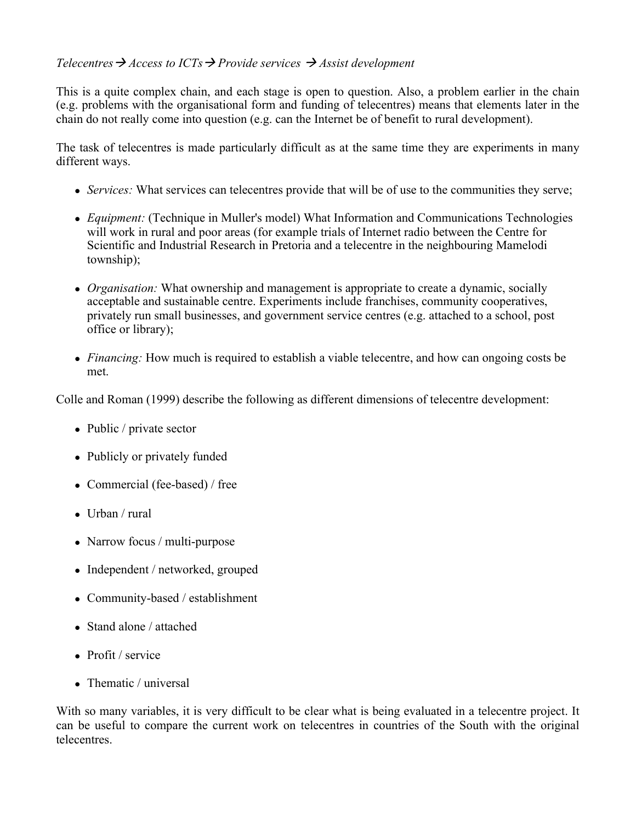# *Telecentres*  $\rightarrow$  *Access to ICTs*  $\rightarrow$  *Provide services*  $\rightarrow$  *Assist development*

This is a quite complex chain, and each stage is open to question. Also, a problem earlier in the chain (e.g. problems with the organisational form and funding of telecentres) means that elements later in the chain do not really come into question (e.g. can the Internet be of benefit to rural development).

The task of telecentres is made particularly difficult as at the same time they are experiments in many different ways.

- *Services:* What services can telecentres provide that will be of use to the communities they serve;
- *Equipment:* (Technique in Muller's model) What Information and Communications Technologies will work in rural and poor areas (for example trials of Internet radio between the Centre for Scientific and Industrial Research in Pretoria and a telecentre in the neighbouring Mamelodi township);
- *Organisation:* What ownership and management is appropriate to create a dynamic, socially acceptable and sustainable centre. Experiments include franchises, community cooperatives, privately run small businesses, and government service centres (e.g. attached to a school, post office or library);
- *Financing:* How much is required to establish a viable telecentre, and how can ongoing costs be met.

Colle and Roman (1999) describe the following as different dimensions of telecentre development:

- Public / private sector
- Publicly or privately funded
- Commercial (fee-based) / free
- Urban / rural
- Narrow focus / multi-purpose
- Independent / networked, grouped
- Community-based / establishment
- Stand alone / attached
- Profit / service
- Thematic / universal

With so many variables, it is very difficult to be clear what is being evaluated in a telecentre project. It can be useful to compare the current work on telecentres in countries of the South with the original telecentres.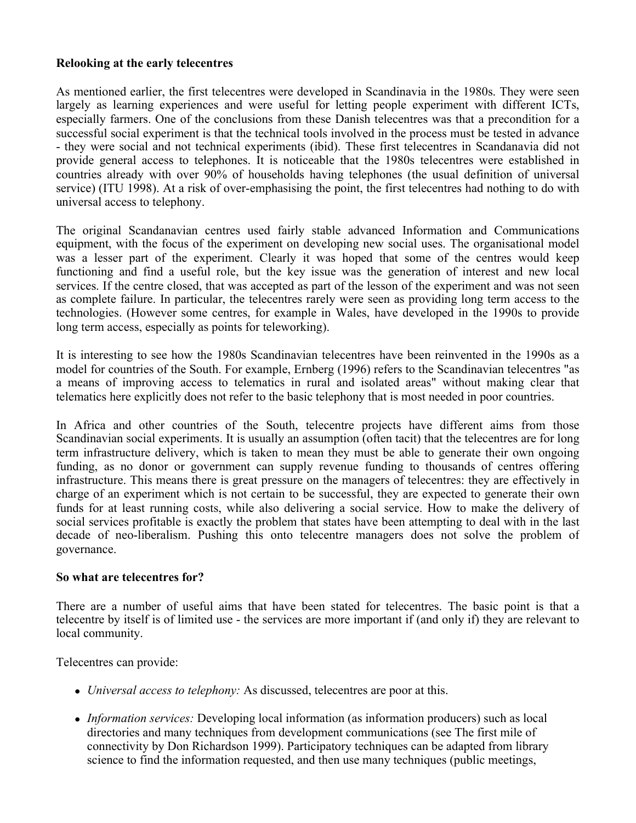### **Relooking at the early telecentres**

As mentioned earlier, the first telecentres were developed in Scandinavia in the 1980s. They were seen largely as learning experiences and were useful for letting people experiment with different ICTs, especially farmers. One of the conclusions from these Danish telecentres was that a precondition for a successful social experiment is that the technical tools involved in the process must be tested in advance - they were social and not technical experiments (ibid). These first telecentres in Scandanavia did not provide general access to telephones. It is noticeable that the 1980s telecentres were established in countries already with over 90% of households having telephones (the usual definition of universal service) (ITU 1998). At a risk of over-emphasising the point, the first telecentres had nothing to do with universal access to telephony.

The original Scandanavian centres used fairly stable advanced Information and Communications equipment, with the focus of the experiment on developing new social uses. The organisational model was a lesser part of the experiment. Clearly it was hoped that some of the centres would keep functioning and find a useful role, but the key issue was the generation of interest and new local services. If the centre closed, that was accepted as part of the lesson of the experiment and was not seen as complete failure. In particular, the telecentres rarely were seen as providing long term access to the technologies. (However some centres, for example in Wales, have developed in the 1990s to provide long term access, especially as points for teleworking).

It is interesting to see how the 1980s Scandinavian telecentres have been reinvented in the 1990s as a model for countries of the South. For example, Ernberg (1996) refers to the Scandinavian telecentres "as a means of improving access to telematics in rural and isolated areas" without making clear that telematics here explicitly does not refer to the basic telephony that is most needed in poor countries.

In Africa and other countries of the South, telecentre projects have different aims from those Scandinavian social experiments. It is usually an assumption (often tacit) that the telecentres are for long term infrastructure delivery, which is taken to mean they must be able to generate their own ongoing funding, as no donor or government can supply revenue funding to thousands of centres offering infrastructure. This means there is great pressure on the managers of telecentres: they are effectively in charge of an experiment which is not certain to be successful, they are expected to generate their own funds for at least running costs, while also delivering a social service. How to make the delivery of social services profitable is exactly the problem that states have been attempting to deal with in the last decade of neo-liberalism. Pushing this onto telecentre managers does not solve the problem of governance.

#### **So what are telecentres for?**

There are a number of useful aims that have been stated for telecentres. The basic point is that a telecentre by itself is of limited use - the services are more important if (and only if) they are relevant to local community.

Telecentres can provide:

- *Universal access to telephony:* As discussed, telecentres are poor at this.
- *Information services:* Developing local information (as information producers) such as local directories and many techniques from development communications (see The first mile of connectivity by Don Richardson 1999). Participatory techniques can be adapted from library science to find the information requested, and then use many techniques (public meetings,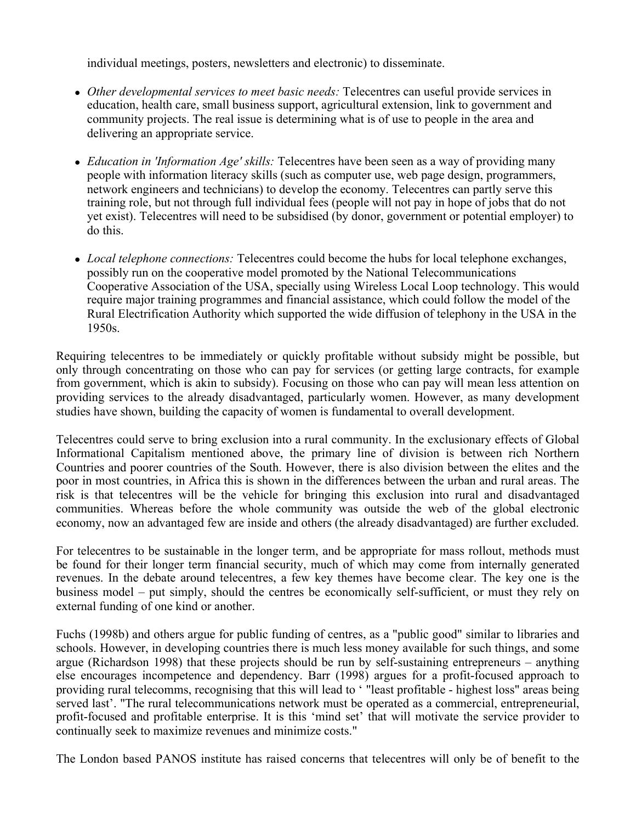individual meetings, posters, newsletters and electronic) to disseminate.

- *Other developmental services to meet basic needs:* Telecentres can useful provide services in education, health care, small business support, agricultural extension, link to government and community projects. The real issue is determining what is of use to people in the area and delivering an appropriate service.
- *Education in 'Information Age' skills*: Telecentres have been seen as a way of providing many people with information literacy skills (such as computer use, web page design, programmers, network engineers and technicians) to develop the economy. Telecentres can partly serve this training role, but not through full individual fees (people will not pay in hope of jobs that do not yet exist). Telecentres will need to be subsidised (by donor, government or potential employer) to do this.
- *Local telephone connections:* Telecentres could become the hubs for local telephone exchanges, possibly run on the cooperative model promoted by the National Telecommunications Cooperative Association of the USA, specially using Wireless Local Loop technology. This would require major training programmes and financial assistance, which could follow the model of the Rural Electrification Authority which supported the wide diffusion of telephony in the USA in the 1950s.

Requiring telecentres to be immediately or quickly profitable without subsidy might be possible, but only through concentrating on those who can pay for services (or getting large contracts, for example from government, which is akin to subsidy). Focusing on those who can pay will mean less attention on providing services to the already disadvantaged, particularly women. However, as many development studies have shown, building the capacity of women is fundamental to overall development.

Telecentres could serve to bring exclusion into a rural community. In the exclusionary effects of Global Informational Capitalism mentioned above, the primary line of division is between rich Northern Countries and poorer countries of the South. However, there is also division between the elites and the poor in most countries, in Africa this is shown in the differences between the urban and rural areas. The risk is that telecentres will be the vehicle for bringing this exclusion into rural and disadvantaged communities. Whereas before the whole community was outside the web of the global electronic economy, now an advantaged few are inside and others (the already disadvantaged) are further excluded.

For telecentres to be sustainable in the longer term, and be appropriate for mass rollout, methods must be found for their longer term financial security, much of which may come from internally generated revenues. In the debate around telecentres, a few key themes have become clear. The key one is the business model – put simply, should the centres be economically self-sufficient, or must they rely on external funding of one kind or another.

Fuchs (1998b) and others argue for public funding of centres, as a "public good" similar to libraries and schools. However, in developing countries there is much less money available for such things, and some argue (Richardson 1998) that these projects should be run by self-sustaining entrepreneurs – anything else encourages incompetence and dependency. Barr (1998) argues for a profit-focused approach to providing rural telecomms, recognising that this will lead to ' "least profitable - highest loss" areas being served last'. "The rural telecommunications network must be operated as a commercial, entrepreneurial, profit-focused and profitable enterprise. It is this 'mind set' that will motivate the service provider to continually seek to maximize revenues and minimize costs."

The London based PANOS institute has raised concerns that telecentres will only be of benefit to the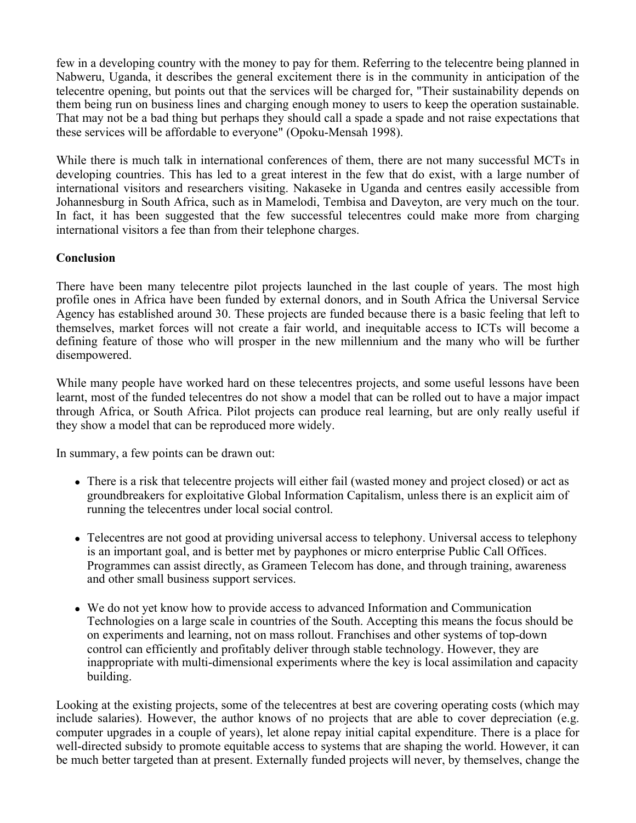few in a developing country with the money to pay for them. Referring to the telecentre being planned in Nabweru, Uganda, it describes the general excitement there is in the community in anticipation of the telecentre opening, but points out that the services will be charged for, "Their sustainability depends on them being run on business lines and charging enough money to users to keep the operation sustainable. That may not be a bad thing but perhaps they should call a spade a spade and not raise expectations that these services will be affordable to everyone" (Opoku-Mensah 1998).

While there is much talk in international conferences of them, there are not many successful MCTs in developing countries. This has led to a great interest in the few that do exist, with a large number of international visitors and researchers visiting. Nakaseke in Uganda and centres easily accessible from Johannesburg in South Africa, such as in Mamelodi, Tembisa and Daveyton, are very much on the tour. In fact, it has been suggested that the few successful telecentres could make more from charging international visitors a fee than from their telephone charges.

## **Conclusion**

There have been many telecentre pilot projects launched in the last couple of years. The most high profile ones in Africa have been funded by external donors, and in South Africa the Universal Service Agency has established around 30. These projects are funded because there is a basic feeling that left to themselves, market forces will not create a fair world, and inequitable access to ICTs will become a defining feature of those who will prosper in the new millennium and the many who will be further disempowered.

While many people have worked hard on these telecentres projects, and some useful lessons have been learnt, most of the funded telecentres do not show a model that can be rolled out to have a major impact through Africa, or South Africa. Pilot projects can produce real learning, but are only really useful if they show a model that can be reproduced more widely.

In summary, a few points can be drawn out:

- There is a risk that telecentre projects will either fail (wasted money and project closed) or act as groundbreakers for exploitative Global Information Capitalism, unless there is an explicit aim of running the telecentres under local social control.
- Telecentres are not good at providing universal access to telephony. Universal access to telephony is an important goal, and is better met by payphones or micro enterprise Public Call Offices. Programmes can assist directly, as Grameen Telecom has done, and through training, awareness and other small business support services.
- We do not yet know how to provide access to advanced Information and Communication Technologies on a large scale in countries of the South. Accepting this means the focus should be on experiments and learning, not on mass rollout. Franchises and other systems of top-down control can efficiently and profitably deliver through stable technology. However, they are inappropriate with multi-dimensional experiments where the key is local assimilation and capacity building.

Looking at the existing projects, some of the telecentres at best are covering operating costs (which may include salaries). However, the author knows of no projects that are able to cover depreciation (e.g. computer upgrades in a couple of years), let alone repay initial capital expenditure. There is a place for well-directed subsidy to promote equitable access to systems that are shaping the world. However, it can be much better targeted than at present. Externally funded projects will never, by themselves, change the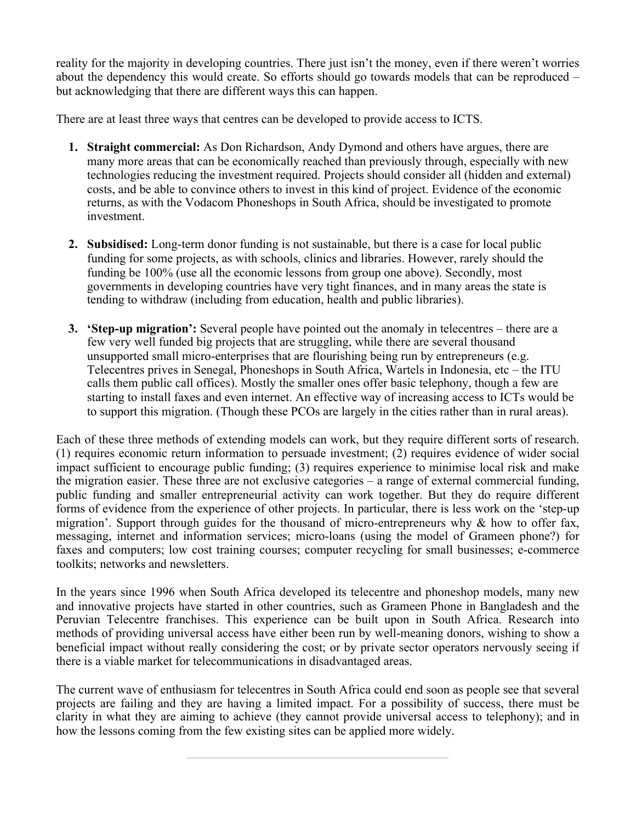reality for the majority in developing countries. There just isn't the money, even if there weren't worries about the dependency this would create. So efforts should go towards models that can be reproduced – but acknowledging that there are different ways this can happen.

There are at least three ways that centres can be developed to provide access to ICTS.

- **1. Straight commercial:** As Don Richardson, Andy Dymond and others have argues, there are many more areas that can be economically reached than previously through, especially with new technologies reducing the investment required. Projects should consider all (hidden and external) costs, and be able to convince others to invest in this kind of project. Evidence of the economic returns, as with the Vodacom Phoneshops in South Africa, should be investigated to promote investment.
- **2. Subsidised:** Long-term donor funding is not sustainable, but there is a case for local public funding for some projects, as with schools, clinics and libraries. However, rarely should the funding be 100% (use all the economic lessons from group one above). Secondly, most governments in developing countries have very tight finances, and in many areas the state is tending to withdraw (including from education, health and public libraries).
- **3. 'Step-up migration':** Several people have pointed out the anomaly in telecentres there are a few very well funded big projects that are struggling, while there are several thousand unsupported small micro-enterprises that are flourishing being run by entrepreneurs (e.g. Telecentres prives in Senegal, Phoneshops in South Africa, Wartels in Indonesia, etc – the ITU calls them public call offices). Mostly the smaller ones offer basic telephony, though a few are starting to install faxes and even internet. An effective way of increasing access to ICTs would be to support this migration. (Though these PCOs are largely in the cities rather than in rural areas).

Each of these three methods of extending models can work, but they require different sorts of research. (1) requires economic return information to persuade investment; (2) requires evidence of wider social impact sufficient to encourage public funding; (3) requires experience to minimise local risk and make the migration easier. These three are not exclusive categories – a range of external commercial funding, public funding and smaller entrepreneurial activity can work together. But they do require different forms of evidence from the experience of other projects. In particular, there is less work on the 'step-up migration'. Support through guides for the thousand of micro-entrepreneurs why  $\&$  how to offer fax, messaging, internet and information services; micro-loans (using the model of Grameen phone?) for faxes and computers; low cost training courses; computer recycling for small businesses; e-commerce toolkits; networks and newsletters.

In the years since 1996 when South Africa developed its telecentre and phoneshop models, many new and innovative projects have started in other countries, such as Grameen Phone in Bangladesh and the Peruvian Telecentre franchises. This experience can be built upon in South Africa. Research into methods of providing universal access have either been run by well-meaning donors, wishing to show a beneficial impact without really considering the cost; or by private sector operators nervously seeing if there is a viable market for telecommunications in disadvantaged areas.

The current wave of enthusiasm for telecentres in South Africa could end soon as people see that several projects are failing and they are having a limited impact. For a possibility of success, there must be clarity in what they are aiming to achieve (they cannot provide universal access to telephony); and in how the lessons coming from the few existing sites can be applied more widely.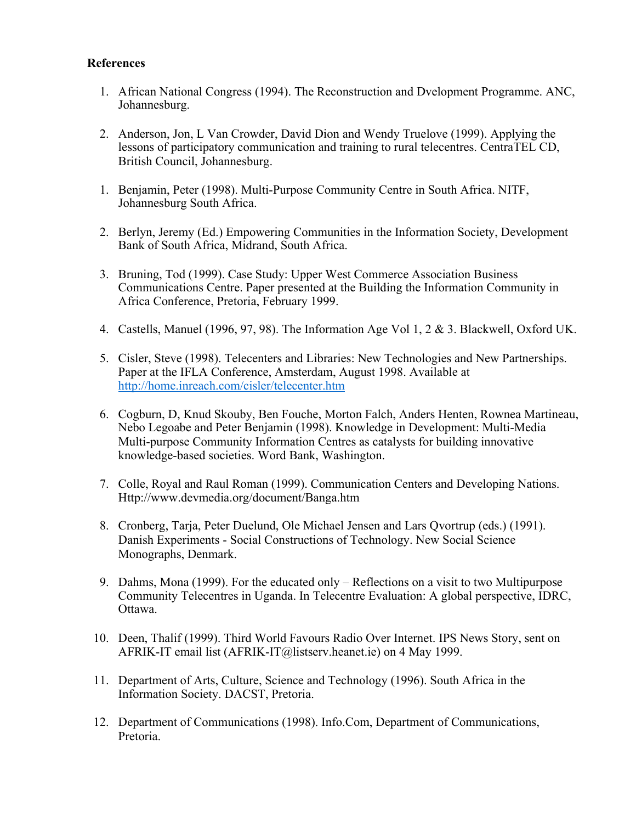### **References**

- 1. African National Congress (1994). The Reconstruction and Dvelopment Programme. ANC, Johannesburg.
- 2. Anderson, Jon, L Van Crowder, David Dion and Wendy Truelove (1999). Applying the lessons of participatory communication and training to rural telecentres. CentraTEL CD, British Council, Johannesburg.
- 1. Benjamin, Peter (1998). Multi-Purpose Community Centre in South Africa. NITF, Johannesburg South Africa.
- 2. Berlyn, Jeremy (Ed.) Empowering Communities in the Information Society, Development Bank of South Africa, Midrand, South Africa.
- 3. Bruning, Tod (1999). Case Study: Upper West Commerce Association Business Communications Centre. Paper presented at the Building the Information Community in Africa Conference, Pretoria, February 1999.
- 4. Castells, Manuel (1996, 97, 98). The Information Age Vol 1, 2 & 3. Blackwell, Oxford UK.
- 5. Cisler, Steve (1998). Telecenters and Libraries: New Technologies and New Partnerships. Paper at the IFLA Conference, Amsterdam, August 1998. Available at http://home.inreach.com/cisler/telecenter.htm
- 6. Cogburn, D, Knud Skouby, Ben Fouche, Morton Falch, Anders Henten, Rownea Martineau, Nebo Legoabe and Peter Benjamin (1998). Knowledge in Development: Multi-Media Multi-purpose Community Information Centres as catalysts for building innovative knowledge-based societies. Word Bank, Washington.
- 7. Colle, Royal and Raul Roman (1999). Communication Centers and Developing Nations. Http://www.devmedia.org/document/Banga.htm
- 8. Cronberg, Tarja, Peter Duelund, Ole Michael Jensen and Lars Qvortrup (eds.) (1991). Danish Experiments - Social Constructions of Technology. New Social Science Monographs, Denmark.
- 9. Dahms, Mona (1999). For the educated only Reflections on a visit to two Multipurpose Community Telecentres in Uganda. In Telecentre Evaluation: A global perspective, IDRC, Ottawa.
- 10. Deen, Thalif (1999). Third World Favours Radio Over Internet. IPS News Story, sent on AFRIK-IT email list (AFRIK-IT@listserv.heanet.ie) on 4 May 1999.
- 11. Department of Arts, Culture, Science and Technology (1996). South Africa in the Information Society. DACST, Pretoria.
- 12. Department of Communications (1998). Info.Com, Department of Communications, Pretoria.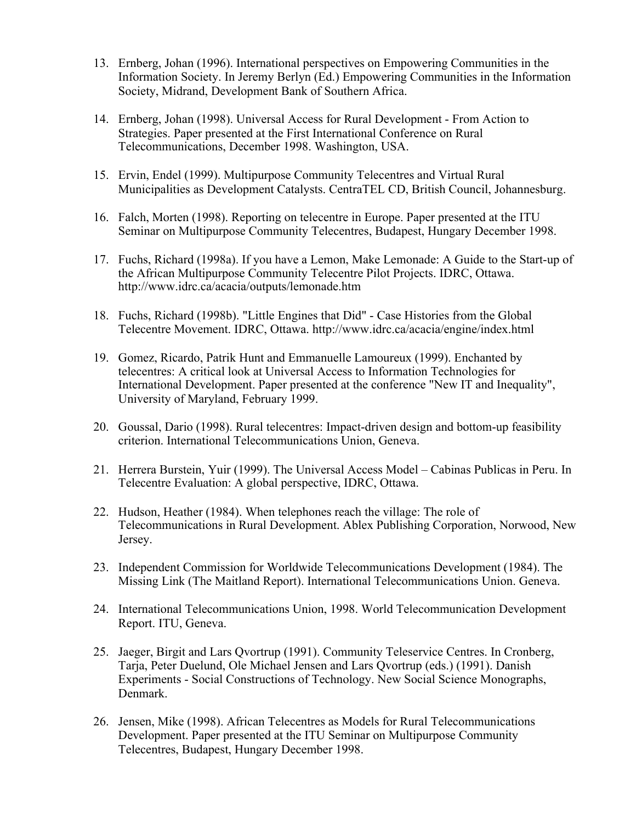- 13. Ernberg, Johan (1996). International perspectives on Empowering Communities in the Information Society. In Jeremy Berlyn (Ed.) Empowering Communities in the Information Society, Midrand, Development Bank of Southern Africa.
- 14. Ernberg, Johan (1998). Universal Access for Rural Development From Action to Strategies. Paper presented at the First International Conference on Rural Telecommunications, December 1998. Washington, USA.
- 15. Ervin, Endel (1999). Multipurpose Community Telecentres and Virtual Rural Municipalities as Development Catalysts. CentraTEL CD, British Council, Johannesburg.
- 16. Falch, Morten (1998). Reporting on telecentre in Europe. Paper presented at the ITU Seminar on Multipurpose Community Telecentres, Budapest, Hungary December 1998.
- 17. Fuchs, Richard (1998a). If you have a Lemon, Make Lemonade: A Guide to the Start-up of the African Multipurpose Community Telecentre Pilot Projects. IDRC, Ottawa. http://www.idrc.ca/acacia/outputs/lemonade.htm
- 18. Fuchs, Richard (1998b). "Little Engines that Did" Case Histories from the Global Telecentre Movement. IDRC, Ottawa. http://www.idrc.ca/acacia/engine/index.html
- 19. Gomez, Ricardo, Patrik Hunt and Emmanuelle Lamoureux (1999). Enchanted by telecentres: A critical look at Universal Access to Information Technologies for International Development. Paper presented at the conference "New IT and Inequality", University of Maryland, February 1999.
- 20. Goussal, Dario (1998). Rural telecentres: Impact-driven design and bottom-up feasibility criterion. International Telecommunications Union, Geneva.
- 21. Herrera Burstein, Yuir (1999). The Universal Access Model Cabinas Publicas in Peru. In Telecentre Evaluation: A global perspective, IDRC, Ottawa.
- 22. Hudson, Heather (1984). When telephones reach the village: The role of Telecommunications in Rural Development. Ablex Publishing Corporation, Norwood, New Jersey.
- 23. Independent Commission for Worldwide Telecommunications Development (1984). The Missing Link (The Maitland Report). International Telecommunications Union. Geneva.
- 24. International Telecommunications Union, 1998. World Telecommunication Development Report. ITU, Geneva.
- 25. Jaeger, Birgit and Lars Qvortrup (1991). Community Teleservice Centres. In Cronberg, Tarja, Peter Duelund, Ole Michael Jensen and Lars Qvortrup (eds.) (1991). Danish Experiments - Social Constructions of Technology. New Social Science Monographs, Denmark.
- 26. Jensen, Mike (1998). African Telecentres as Models for Rural Telecommunications Development. Paper presented at the ITU Seminar on Multipurpose Community Telecentres, Budapest, Hungary December 1998.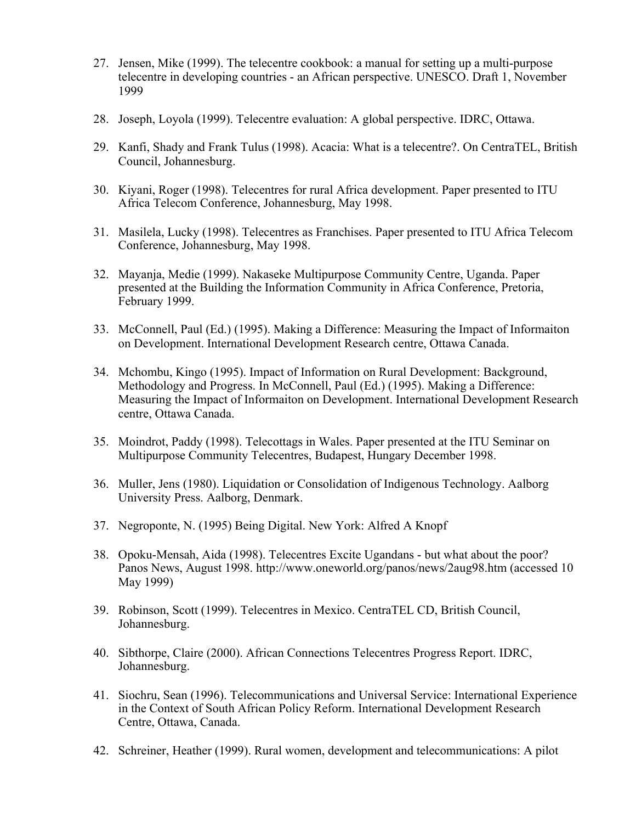- 27. Jensen, Mike (1999). The telecentre cookbook: a manual for setting up a multi-purpose telecentre in developing countries - an African perspective. UNESCO. Draft 1, November 1999
- 28. Joseph, Loyola (1999). Telecentre evaluation: A global perspective. IDRC, Ottawa.
- 29. Kanfi, Shady and Frank Tulus (1998). Acacia: What is a telecentre?. On CentraTEL, British Council, Johannesburg.
- 30. Kiyani, Roger (1998). Telecentres for rural Africa development. Paper presented to ITU Africa Telecom Conference, Johannesburg, May 1998.
- 31. Masilela, Lucky (1998). Telecentres as Franchises. Paper presented to ITU Africa Telecom Conference, Johannesburg, May 1998.
- 32. Mayanja, Medie (1999). Nakaseke Multipurpose Community Centre, Uganda. Paper presented at the Building the Information Community in Africa Conference, Pretoria, February 1999.
- 33. McConnell, Paul (Ed.) (1995). Making a Difference: Measuring the Impact of Informaiton on Development. International Development Research centre, Ottawa Canada.
- 34. Mchombu, Kingo (1995). Impact of Information on Rural Development: Background, Methodology and Progress. In McConnell, Paul (Ed.) (1995). Making a Difference: Measuring the Impact of Informaiton on Development. International Development Research centre, Ottawa Canada.
- 35. Moindrot, Paddy (1998). Telecottags in Wales. Paper presented at the ITU Seminar on Multipurpose Community Telecentres, Budapest, Hungary December 1998.
- 36. Muller, Jens (1980). Liquidation or Consolidation of Indigenous Technology. Aalborg University Press. Aalborg, Denmark.
- 37. Negroponte, N. (1995) Being Digital. New York: Alfred A Knopf
- 38. Opoku-Mensah, Aida (1998). Telecentres Excite Ugandans but what about the poor? Panos News, August 1998. http://www.oneworld.org/panos/news/2aug98.htm (accessed 10 May 1999)
- 39. Robinson, Scott (1999). Telecentres in Mexico. CentraTEL CD, British Council, Johannesburg.
- 40. Sibthorpe, Claire (2000). African Connections Telecentres Progress Report. IDRC, Johannesburg.
- 41. Siochru, Sean (1996). Telecommunications and Universal Service: International Experience in the Context of South African Policy Reform. International Development Research Centre, Ottawa, Canada.
- 42. Schreiner, Heather (1999). Rural women, development and telecommunications: A pilot